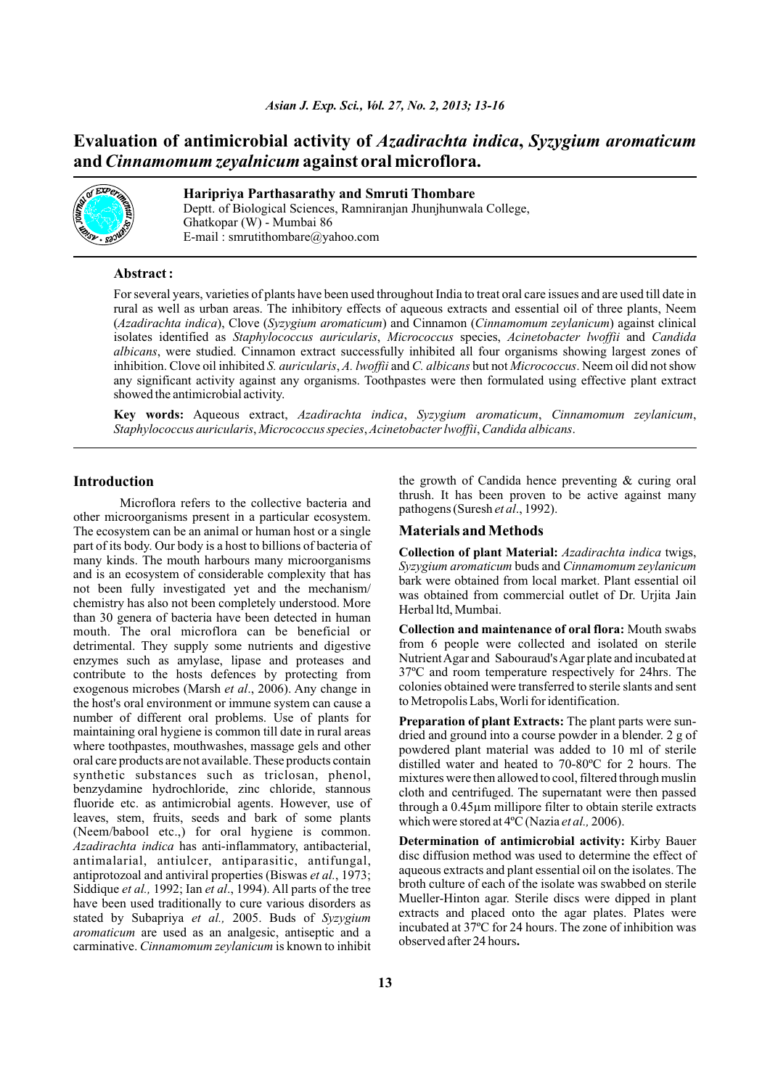# **Evaluation of antimicrobial activity of** *Azadirachta indica***,** *Syzygium aromaticum* **and** *Cinnamomum zeyalnicum* **against oral microflora.**



# **Haripriya Parthasarathy and Smruti Thombare**

Deptt. of Biological Sciences, Ramniranjan Jhunjhunwala College, Ghatkopar (W) - Mumbai 86 E-mail : smrutithombare@yahoo.com

### **Abstract :**

For several years, varieties of plants have been used throughout India to treat oral care issues and are used till date in rural as well as urban areas. The inhibitory effects of aqueous extracts and essential oil of three plants, Neem (*Azadirachta indica*), Clove (*Syzygium aromaticum*) and Cinnamon (*Cinnamomum zeylanicum*) against clinical isolates identified as *Staphylococcus auricularis*, *Micrococcus* species, *Acinetobacter lwoffii* and *Candida albicans*, were studied. Cinnamon extract successfully inhibited all four organisms showing largest zones of inhibition. Clove oil inhibited *S. auricularis*, *A. lwoffii* and *C. albicans* but not *Micrococcus*. Neem oil did not show any significant activity against any organisms. Toothpastes were then formulated using effective plant extract showed the antimicrobial activity.

**Key words:** Aqueous extract, *Azadirachta indica*, *Syzygium aromaticum*, *Cinnamomum zeylanicum*, *Staphylococcus auricularis*, *Micrococcus species*, *Acinetobacter lwoffii*, *Candida albicans*.

#### **Introduction**

Microflora refers to the collective bacteria and other microorganisms present in a particular ecosystem. The ecosystem can be an animal or human host or a single part of its body. Our body is a host to billions of bacteria of many kinds. The mouth harbours many microorganisms and is an ecosystem of considerable complexity that has not been fully investigated yet and the mechanism/ chemistry has also not been completely understood. More than 30 genera of bacteria have been detected in human mouth. The oral microflora can be beneficial or detrimental. They supply some nutrients and digestive enzymes such as amylase, lipase and proteases and contribute to the hosts defences by protecting from exogenous microbes (Marsh *et al*., 2006). Any change in the host's oral environment or immune system can cause a number of different oral problems. Use of plants for maintaining oral hygiene is common till date in rural areas where toothpastes, mouthwashes, massage gels and other oral care products are not available. These products contain synthetic substances such as triclosan, phenol, benzydamine hydrochloride, zinc chloride, stannous fluoride etc. as antimicrobial agents. However, use of leaves, stem, fruits, seeds and bark of some plants (Neem/babool etc.,) for oral hygiene is common. *Azadirachta indica* has anti-inflammatory, antibacterial, antimalarial, antiulcer, antiparasitic, antifungal, antiprotozoal and antiviral properties (Biswas *et al.*, 1973; Siddique *et al.,* 1992; Ian *et al*., 1994). All parts of the tree have been used traditionally to cure various disorders as stated by Subapriya *et al.,* 2005. Buds of *Syzygium aromaticum* are used as an analgesic, antiseptic and a carminative. *Cinnamomum zeylanicum* is known to inhibit

the growth of Candida hence preventing & curing oral thrush. It has been proven to be active against many pathogens (Suresh *et al*., 1992).

## **Materials and Methods**

**Collection of plant Material:** *Azadirachta indica* twigs, *Syzygium aromaticum* buds and *Cinnamomum zeylanicum* bark were obtained from local market. Plant essential oil was obtained from commercial outlet of Dr. Urjita Jain Herbal ltd, Mumbai.

**Collection and maintenance of oral flora:** Mouth swabs from 6 people were collected and isolated on sterile Nutrient Agar and Sabouraud's Agar plate and incubated at 37ºC and room temperature respectively for 24hrs. The colonies obtained were transferred to sterile slants and sent to Metropolis Labs, Worli for identification.

**Preparation of plant Extracts:** The plant parts were sundried and ground into a course powder in a blender. 2 g of powdered plant material was added to 10 ml of sterile distilled water and heated to 70-80ºC for 2 hours. The mixtures were then allowed to cool, filtered through muslin cloth and centrifuged. The supernatant were then passed through a 0.45µm millipore filter to obtain sterile extracts which were stored at 4ºC (Nazia *et al.,* 2006).

**Determination of antimicrobial activity:** Kirby Bauer disc diffusion method was used to determine the effect of aqueous extracts and plant essential oil on the isolates. The broth culture of each of the isolate was swabbed on sterile Mueller-Hinton agar. Sterile discs were dipped in plant extracts and placed onto the agar plates. Plates were incubated at 37ºC for 24 hours. The zone of inhibition was observed after 24 hours**.**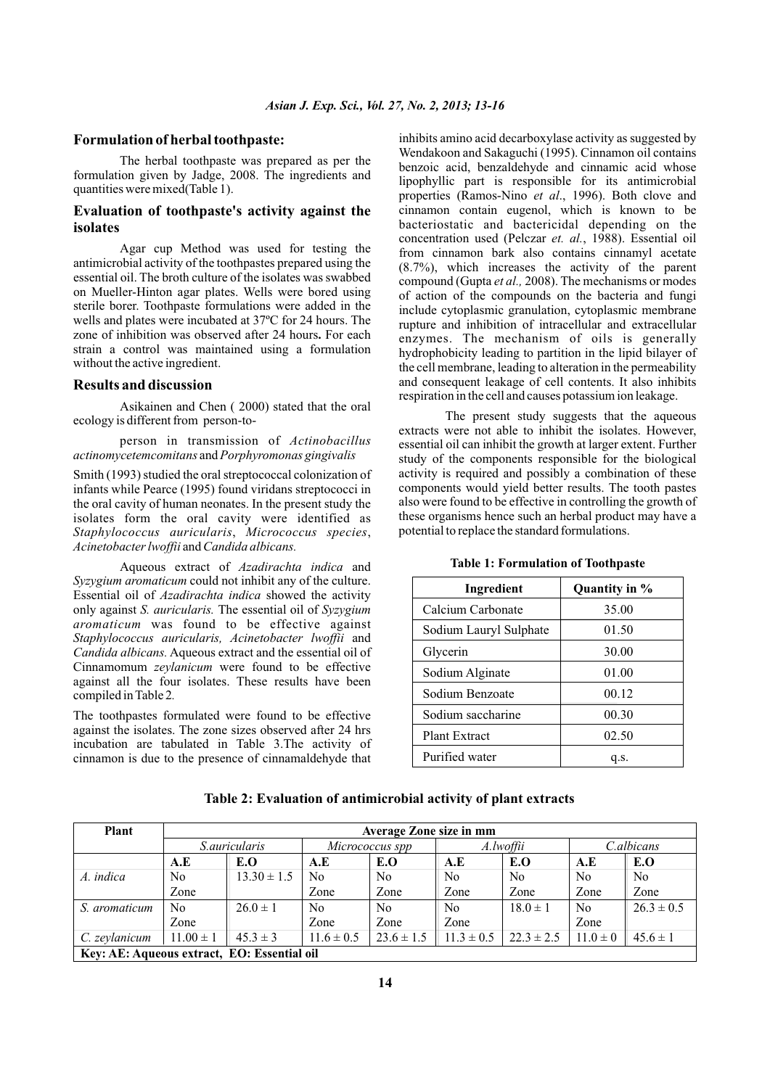### **Formulation of herbal toothpaste:**

The herbal toothpaste was prepared as per the formulation given by Jadge, 2008. The ingredients and quantities were mixed(Table 1).

# **Evaluation of toothpaste's activity against the isolates**

Agar cup Method was used for testing the antimicrobial activity of the toothpastes prepared using the essential oil. The broth culture of the isolates was swabbed on Mueller-Hinton agar plates. Wells were bored using sterile borer. Toothpaste formulations were added in the wells and plates were incubated at 37ºC for 24 hours. The zone of inhibition was observed after 24 hours**.** For each strain a control was maintained using a formulation without the active ingredient.

### **Results and discussion**

Asikainen and Chen ( 2000) stated that the oral ecology is different from person-to-

person in transmission of *Actinobacillus actinomycetemcomitans* and *Porphyromonas gingivalis*

Smith (1993) studied the oral streptococcal colonization of infants while Pearce (1995) found viridans streptococci in the oral cavity of human neonates. In the present study the isolates form the oral cavity were identified as *Staphylococcus auricularis*, *Micrococcus species*, *Acinetobacter lwoffii* and *Candida albicans.* 

Aqueous extract of *Azadirachta indica* and *Syzygium aromaticum* could not inhibit any of the culture. Essential oil of *Azadirachta indica* showed the activity only against *S. auricularis.* The essential oil of *Syzygium aromaticum* was found to be effective against *Staphylococcus auricularis, Acinetobacter lwoffii* and *Candida albicans.* Aqueous extract and the essential oil of Cinnamomum *zeylanicum* were found to be effective against all the four isolates. These results have been compiled in Table 2*.*

The toothpastes formulated were found to be effective against the isolates. The zone sizes observed after 24 hrs incubation are tabulated in Table 3.The activity of cinnamon is due to the presence of cinnamaldehyde that inhibits amino acid decarboxylase activity as suggested by Wendakoon and Sakaguchi (1995). Cinnamon oil contains benzoic acid, benzaldehyde and cinnamic acid whose lipophyllic part is responsible for its antimicrobial properties (Ramos-Nino *et al*., 1996). Both clove and cinnamon contain eugenol, which is known to be bacteriostatic and bactericidal depending on the concentration used (Pelczar *et. al.*, 1988). Essential oil from cinnamon bark also contains cinnamyl acetate (8.7%), which increases the activity of the parent compound (Gupta *et al.,* 2008). The mechanisms or modes of action of the compounds on the bacteria and fungi include cytoplasmic granulation, cytoplasmic membrane rupture and inhibition of intracellular and extracellular enzymes. The mechanism of oils is generally hydrophobicity leading to partition in the lipid bilayer of the cell membrane, leading to alteration in the permeability and consequent leakage of cell contents. It also inhibits respiration in the cell and causes potassium ion leakage.

The present study suggests that the aqueous extracts were not able to inhibit the isolates. However, essential oil can inhibit the growth at larger extent. Further study of the components responsible for the biological activity is required and possibly a combination of these components would yield better results. The tooth pastes also were found to be effective in controlling the growth of these organisms hence such an herbal product may have a potential to replace the standard formulations.

| Ingredient             | Quantity in % |  |  |
|------------------------|---------------|--|--|
| Calcium Carbonate      | 35.00         |  |  |
| Sodium Lauryl Sulphate | 01.50         |  |  |
| Glycerin               | 30.00         |  |  |
| Sodium Alginate        | 01.00         |  |  |
| Sodium Benzoate        | 00.12         |  |  |
| Sodium saccharine      | 00.30         |  |  |
| <b>Plant Extract</b>   | 02.50         |  |  |
| Purified water         | q.s.          |  |  |

### **Table 1: Formulation of Toothpaste**

# **Table 2: Evaluation of antimicrobial activity of plant extracts**

| Plant                                       | Average Zone size in mm |                 |                 |                |                |                |              |                |
|---------------------------------------------|-------------------------|-----------------|-----------------|----------------|----------------|----------------|--------------|----------------|
|                                             | <i>S.auricularis</i>    |                 | Micrococcus spp |                | A.lwoffii      |                | C.albicans   |                |
|                                             | A.E                     | E.O             | A.E             | E.O            | A.E            | E.O            | A.E          | E.O            |
| A. indica                                   | No                      | $13.30 \pm 1.5$ | No              | No.            | No.            | N <sub>0</sub> | No.          | N <sub>0</sub> |
|                                             | Zone                    |                 | Zone            | Zone           | Zone           | Zone           | Zone         | Zone           |
| S. aromaticum                               | N <sub>0</sub>          | $26.0 \pm 1$    | N <sub>0</sub>  | No.            | N <sub>0</sub> | $18.0 \pm 1$   | No.          | $26.3 \pm 0.5$ |
|                                             | Zone                    |                 | Zone            | Zone           | Zone           |                | Zone         |                |
| C. zeylanicum                               | $11.00 \pm 1$           | $45.3 \pm 3$    | $11.6 \pm 0.5$  | $23.6 \pm 1.5$ | $11.3 \pm 0.5$ | $22.3 \pm 2.5$ | $11.0 \pm 0$ | $45.6 \pm 1$   |
| Key: AE: Aqueous extract, EO: Essential oil |                         |                 |                 |                |                |                |              |                |